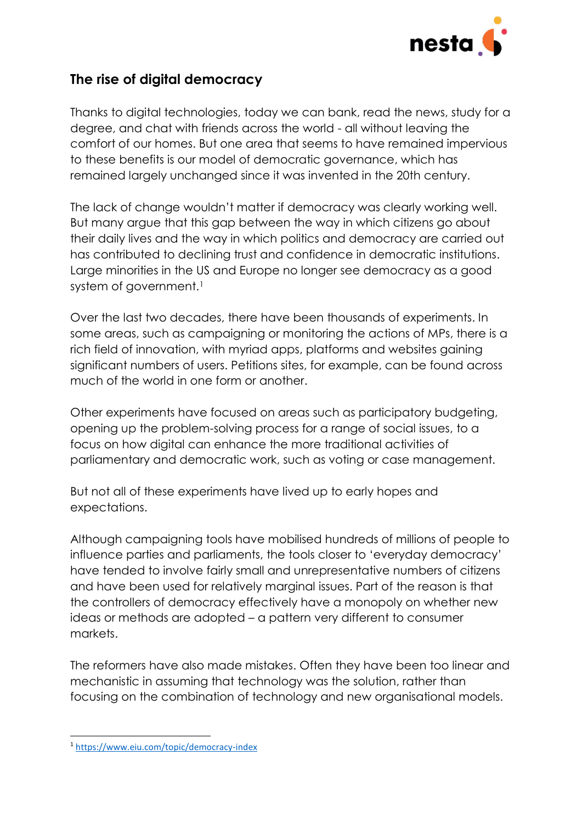

# **The rise of digital democracy**

Thanks to digital technologies, today we can bank, read the news, study for a degree, and chat with friends across the world - all without leaving the comfort of our homes. But one area that seems to have remained impervious to these benefits is our model of democratic governance, which has remained largely unchanged since it was invented in the 20th century.

The lack of change wouldn't matter if democracy was clearly working well. But many argue that this gap between the way in which citizens go about their daily lives and the way in which politics and democracy are carried out has contributed to declining trust and confidence in democratic institutions. Large minorities in the US and Europe no longer see democracy as a good system of government.<sup>1</sup>

Over the last two decades, there have been thousands of experiments. In some areas, such as campaigning or monitoring the actions of MPs, there is a rich field of innovation, with myriad apps, platforms and websites gaining significant numbers of users. Petitions sites, for example, can be found across much of the world in one form or another.

Other experiments have focused on areas such as participatory budgeting, opening up the problem-solving process for a range of social issues, to a focus on how digital can enhance the more traditional activities of parliamentary and democratic work, such as voting or case management.

But not all of these experiments have lived up to early hopes and expectations.

Although campaigning tools have mobilised hundreds of millions of people to influence parties and parliaments, the tools closer to 'everyday democracy' have tended to involve fairly small and unrepresentative numbers of citizens and have been used for relatively marginal issues. Part of the reason is that the controllers of democracy effectively have a monopoly on whether new ideas or methods are adopted – a pattern very different to consumer markets.

The reformers have also made mistakes. Often they have been too linear and mechanistic in assuming that technology was the solution, rather than focusing on the combination of technology and new organisational models.

**<sup>.</sup>** <sup>1</sup> <https://www.eiu.com/topic/democracy-index>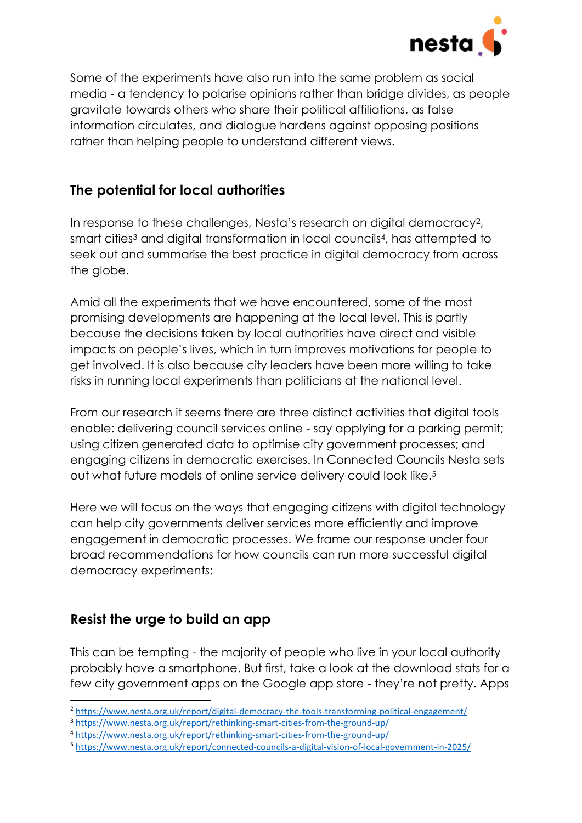

Some of the experiments have also run into the same problem as social media - a tendency to polarise opinions rather than bridge divides, as people gravitate towards others who share their political affiliations, as false information circulates, and dialogue hardens against opposing positions rather than helping people to understand different views.

# **The potential for local authorities**

In response to these challenges, Nesta's research on digital democracy2, smart cities<sup>3</sup> and digital transformation in local councils<sup>4</sup>, has attempted to seek out and summarise the best practice in digital democracy from across the globe.

Amid all the experiments that we have encountered, some of the most promising developments are happening at the local level. This is partly because the decisions taken by local authorities have direct and visible impacts on people's lives, which in turn improves motivations for people to get involved. It is also because city leaders have been more willing to take risks in running local experiments than politicians at the national level.

From our research it seems there are three distinct activities that digital tools enable: delivering council services online - say applying for a parking permit; using citizen generated data to optimise city government processes; and engaging citizens in democratic exercises. In Connected Councils Nesta sets out what future models of online service delivery could look like.<sup>5</sup>

Here we will focus on the ways that engaging citizens with digital technology can help city governments deliver services more efficiently and improve engagement in democratic processes. We frame our response under four broad recommendations for how councils can run more successful digital democracy experiments:

### **Resist the urge to build an app**

**.** 

This can be tempting - the majority of people who live in your local authority probably have a smartphone. But first, take a look at the download stats for a few city government apps on the Google app store - they're not pretty. Apps

<sup>&</sup>lt;sup>2</sup> <https://www.nesta.org.uk/report/digital-democracy-the-tools-transforming-political-engagement/>

<sup>3</sup> <https://www.nesta.org.uk/report/rethinking-smart-cities-from-the-ground-up/>

<sup>4</sup> <https://www.nesta.org.uk/report/rethinking-smart-cities-from-the-ground-up/>

<sup>5</sup> <https://www.nesta.org.uk/report/connected-councils-a-digital-vision-of-local-government-in-2025/>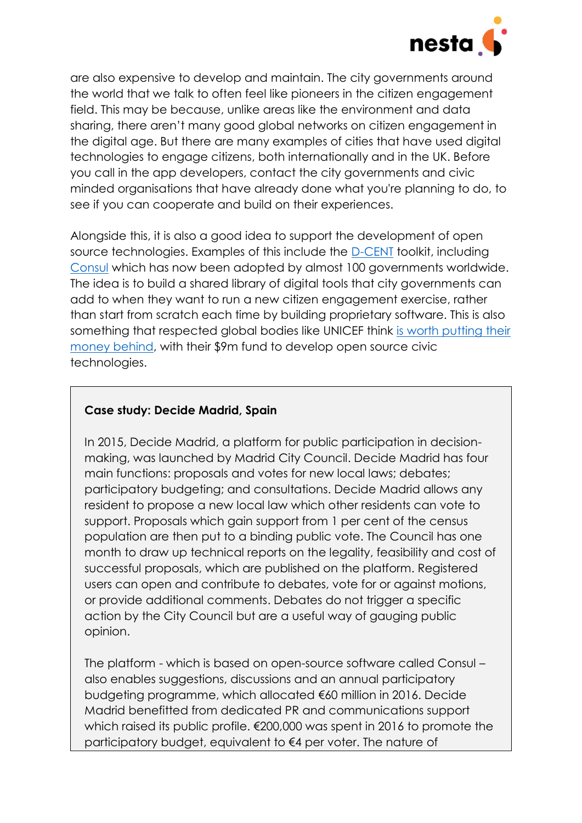

are also expensive to develop and maintain. The city governments around the world that we talk to often feel like pioneers in the citizen engagement field. This may be because, unlike areas like the environment and data sharing, there aren't many good global networks on citizen engagement in the digital age. But there are many examples of cities that have used digital technologies to engage citizens, both internationally and in the UK. Before you call in the app developers, contact the city governments and civic minded organisations that have already done what you're planning to do, to see if you can cooperate and build on their experiences.

Alongside this, it is also a good idea to support the development of open source technologies. Examples of this include the [D-CENT](https://dcentproject.eu/) toolkit, including [Consul](http://consulproject.org/en/) which has now been adopted by almost 100 governments worldwide. The idea is to build a shared library of digital tools that city governments can add to when they want to run a new citizen engagement exercise, rather than start from scratch each time by building proprietary software. This is also something that respected global bodies like UNICEF think is [worth putting their](https://www.fastcompany.com/3056420/unicef-is-launching-a-venture-fund-for-open-source-civic-technology)  [money behind,](https://www.fastcompany.com/3056420/unicef-is-launching-a-venture-fund-for-open-source-civic-technology) with their \$9m fund to develop open source civic technologies.

#### **Case study: Decide Madrid, Spain**

In 2015, Decide Madrid, a platform for public participation in decisionmaking, was launched by Madrid City Council. Decide Madrid has four main functions: proposals and votes for new local laws; debates; participatory budgeting; and consultations. Decide Madrid allows any resident to propose a new local law which other residents can vote to support. Proposals which gain support from 1 per cent of the census population are then put to a binding public vote. The Council has one month to draw up technical reports on the legality, feasibility and cost of successful proposals, which are published on the platform. Registered users can open and contribute to debates, vote for or against motions, or provide additional comments. Debates do not trigger a specific action by the City Council but are a useful way of gauging public opinion.

The platform - which is based on open-source software called Consul – also enables suggestions, discussions and an annual participatory budgeting programme, which allocated €60 million in 2016. Decide Madrid benefitted from dedicated PR and communications support which raised its public profile. €200,000 was spent in 2016 to promote the participatory budget, equivalent to €4 per voter. The nature of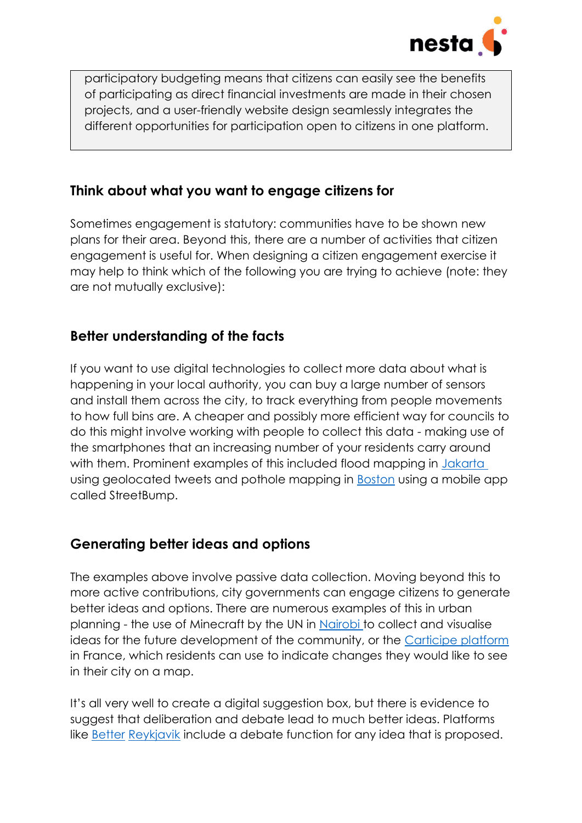

participatory budgeting means that citizens can easily see the benefits of participating as direct financial investments are made in their chosen projects, and a user-friendly website design seamlessly integrates the different opportunities for participation open to citizens in one platform.

### **Think about what you want to engage citizens for**

Sometimes engagement is statutory: communities have to be shown new plans for their area. Beyond this, there are a number of activities that citizen engagement is useful for. When designing a citizen engagement exercise it may help to think which of the following you are trying to achieve (note: they are not mutually exclusive):

### **Better understanding of the facts**

If you want to use digital technologies to collect more data about what is happening in your local authority, you can buy a large number of sensors and install them across the city, to track everything from people movements to how full bins are. A cheaper and possibly more efficient way for councils to do this might involve working with people to collect this data - making use of the smartphones that an increasing number of your residents carry around with them. Prominent examples of this included flood mapping in Jakarta using geolocated tweets and pothole mapping in **Boston** using a mobile app called StreetBump.

### **Generating better ideas and options**

The examples above involve passive data collection. Moving beyond this to more active contributions, city governments can engage citizens to generate better ideas and options. There are numerous examples of this in urban planning - the use of Minecraft by the UN in [Nairobi t](https://www.nesta.org.uk/feature/10-people-centred-smart-city-initiatives/minecraft-block-by-block/)o collect and visualise ideas for the future development of the community, or the [Carticipe](https://carticipe.net/carticipe-debatomap-in-english/) platform in France, which residents can use to indicate changes they would like to see in their city on a map.

It's all very well to create a digital suggestion box, but there is evidence to suggest that deliberation and debate lead to much better ideas. Platforms like [Better](https://www.betrireykjavik.is/domain/1) [Reykjavik](https://www.betrireykjavik.is/domain/1) include a debate function for any idea that is proposed.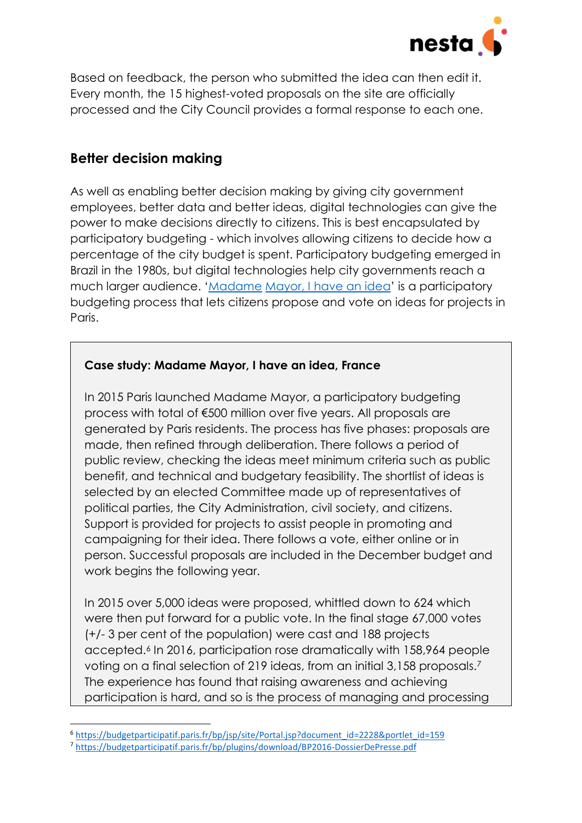

Based on feedback, the person who submitted the idea can then edit it. Every month, the 15 highest-voted proposals on the site are officially processed and the City Council provides a formal response to each one.

### **Better decision making**

As well as enabling better decision making by giving city government employees, better data and better ideas, digital technologies can give the power to make decisions directly to citizens. This is best encapsulated by participatory budgeting - which involves allowing citizens to decide how a percentage of the city budget is spent. Participatory budgeting emerged in Brazil in the 1980s, but digital technologies help city governments reach a much larger audience. '[Madame](https://www.nesta.org.uk/blog/felicitations-madame-mayor-participatory-budgeting-in-paris-hits-new-highs/) [Mayor, I have an idea](https://www.nesta.org.uk/blog/felicitations-madame-mayor-participatory-budgeting-in-paris-hits-new-highs/)' is a participatory budgeting process that lets citizens propose and vote on ideas for projects in Paris.

#### **Case study: Madame Mayor, I have an idea, France**

In 2015 Paris launched Madame Mayor, a participatory budgeting process with total of €500 million over five years. All proposals are generated by Paris residents. The process has five phases: proposals are made, then refined through deliberation. There follows a period of public review, checking the ideas meet minimum criteria such as public benefit, and technical and budgetary feasibility. The shortlist of ideas is selected by an elected Committee made up of representatives of political parties, the City Administration, civil society, and citizens. Support is provided for projects to assist people in promoting and campaigning for their idea. There follows a vote, either online or in person. Successful proposals are included in the December budget and work begins the following year.

In 2015 over 5,000 ideas were proposed, whittled down to 624 which were then put forward for a public vote. In the final stage 67,000 votes (+/- 3 per cent of the population) were cast and 188 projects accepted.<sup>6</sup> In 2016, participation rose dramatically with 158,964 people voting on a final selection of 219 ideas, from an initial 3,158 proposals.<sup>7</sup> The experience has found that raising awareness and achieving participation is hard, and so is the process of managing and processing

1

<sup>6</sup> [https://budgetparticipatif.paris.fr/bp/jsp/site/Portal.jsp?document\\_id=2228&portlet\\_id=159](https://budgetparticipatif.paris.fr/bp/jsp/site/Portal.jsp?document_id=2228&portlet_id=159)

<sup>7</sup> <https://budgetparticipatif.paris.fr/bp/plugins/download/BP2016-DossierDePresse.pdf>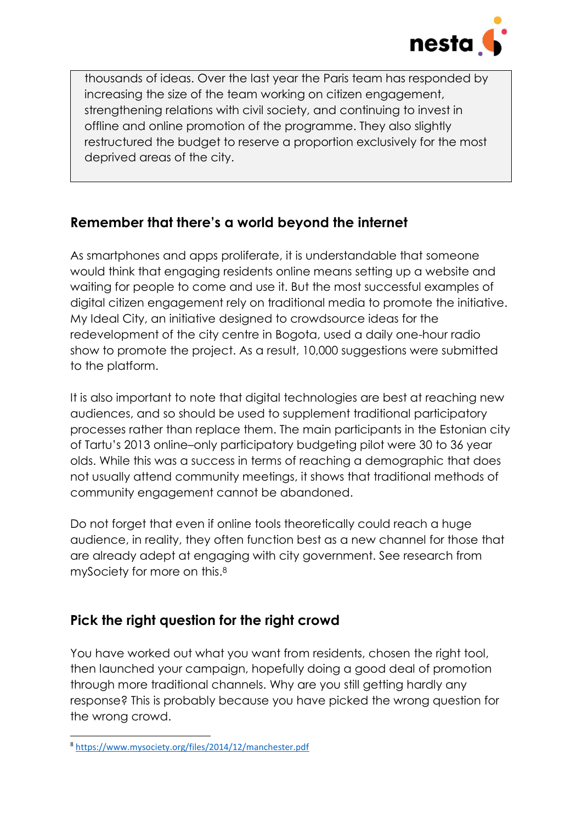

thousands of ideas. Over the last year the Paris team has responded by increasing the size of the team working on citizen engagement, strengthening relations with civil society, and continuing to invest in offline and online promotion of the programme. They also slightly restructured the budget to reserve a proportion exclusively for the most deprived areas of the city.

### **Remember that there's a world beyond the internet**

As smartphones and apps proliferate, it is understandable that someone would think that engaging residents online means setting up a website and waiting for people to come and use it. But the most successful examples of digital citizen engagement rely on traditional media to promote the initiative. My Ideal City, an initiative designed to crowdsource ideas for the redevelopment of the city centre in Bogota, used a daily one-hour radio show to promote the project. As a result, 10,000 suggestions were submitted to the platform.

It is also important to note that digital technologies are best at reaching new audiences, and so should be used to supplement traditional participatory processes rather than replace them. The main participants in the Estonian city of Tartu's 2013 online–only participatory budgeting pilot were 30 to 36 year olds. While this was a success in terms of reaching a demographic that does not usually attend community meetings, it shows that traditional methods of community engagement cannot be abandoned.

Do not forget that even if online tools theoretically could reach a huge audience, in reality, they often function best as a new channel for those that are already adept at engaging with city government. See research from mySociety for more on this.<sup>8</sup>

# **Pick the right question for the right crowd**

You have worked out what you want from residents, chosen the right tool, then launched your campaign, hopefully doing a good deal of promotion through more traditional channels. Why are you still getting hardly any response? This is probably because you have picked the wrong question for the wrong crowd.

**<sup>.</sup>** <sup>8</sup> <https://www.mysociety.org/files/2014/12/manchester.pdf>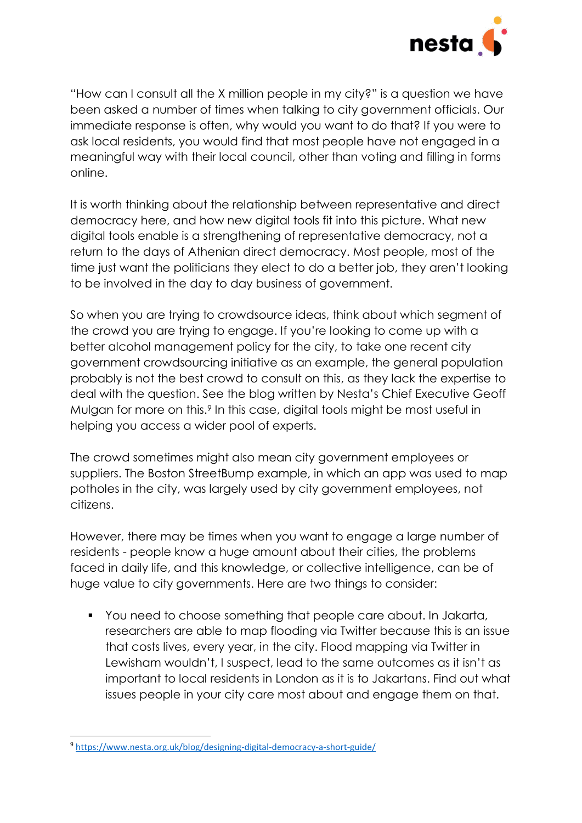

"How can I consult all the X million people in my city?" is a question we have been asked a number of times when talking to city government officials. Our immediate response is often, why would you want to do that? If you were to ask local residents, you would find that most people have not engaged in a meaningful way with their local council, other than voting and filling in forms online.

It is worth thinking about the relationship between representative and direct democracy here, and how new digital tools fit into this picture. What new digital tools enable is a strengthening of representative democracy, not a return to the days of Athenian direct democracy. Most people, most of the time just want the politicians they elect to do a better job, they aren't looking to be involved in the day to day business of government.

So when you are trying to crowdsource ideas, think about which segment of the crowd you are trying to engage. If you're looking to come up with a better alcohol management policy for the city, to take one recent city government crowdsourcing initiative as an example, the general population probably is not the best crowd to consult on this, as they lack the expertise to deal with the question. See the blog written by Nesta's Chief Executive Geoff Mulgan for more on this.<sup>9</sup> In this case, digital tools might be most useful in helping you access a wider pool of experts.

The crowd sometimes might also mean city government employees or suppliers. The Boston StreetBump example, in which an app was used to map potholes in the city, was largely used by city government employees, not citizens.

However, there may be times when you want to engage a large number of residents - people know a huge amount about their cities, the problems faced in daily life, and this knowledge, or collective intelligence, can be of huge value to city governments. Here are two things to consider:

 You need to choose something that people care about. In Jakarta, researchers are able to map flooding via Twitter because this is an issue that costs lives, every year, in the city. Flood mapping via Twitter in Lewisham wouldn't, I suspect, lead to the same outcomes as it isn't as important to local residents in London as it is to Jakartans. Find out what issues people in your city care most about and engage them on that.

**<sup>.</sup>** <sup>9</sup> <https://www.nesta.org.uk/blog/designing-digital-democracy-a-short-guide/>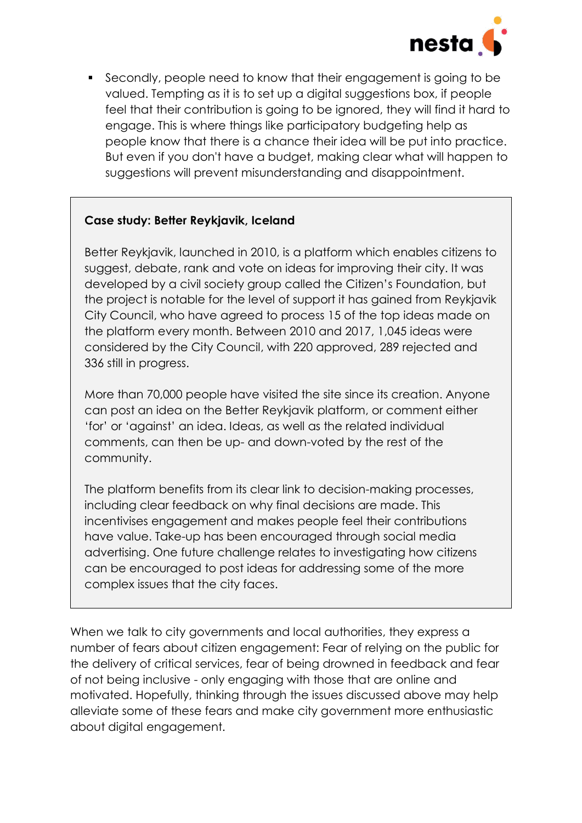

 Secondly, people need to know that their engagement is going to be valued. Tempting as it is to set up a digital suggestions box, if people feel that their contribution is going to be ignored, they will find it hard to engage. This is where things like participatory budgeting help as people know that there is a chance their idea will be put into practice. But even if you don't have a budget, making clear what will happen to suggestions will prevent misunderstanding and disappointment.

#### **Case study: Better Reykjavik, Iceland**

Better Reykjavik, launched in 2010, is a platform which enables citizens to suggest, debate, rank and vote on ideas for improving their city. It was developed by a civil society group called the Citizen's Foundation, but the project is notable for the level of support it has gained from Reykjavik City Council, who have agreed to process 15 of the top ideas made on the platform every month. Between 2010 and 2017, 1,045 ideas were considered by the City Council, with 220 approved, 289 rejected and 336 still in progress.

More than 70,000 people have visited the site since its creation. Anyone can post an idea on the Better Reykjavik platform, or comment either 'for' or 'against' an idea. Ideas, as well as the related individual comments, can then be up- and down-voted by the rest of the community.

The platform benefits from its clear link to decision-making processes, including clear feedback on why final decisions are made. This incentivises engagement and makes people feel their contributions have value. Take-up has been encouraged through social media advertising. One future challenge relates to investigating how citizens can be encouraged to post ideas for addressing some of the more complex issues that the city faces.

When we talk to city governments and local authorities, they express a number of fears about citizen engagement: Fear of relying on the public for the delivery of critical services, fear of being drowned in feedback and fear of not being inclusive - only engaging with those that are online and motivated. Hopefully, thinking through the issues discussed above may help alleviate some of these fears and make city government more enthusiastic about digital engagement.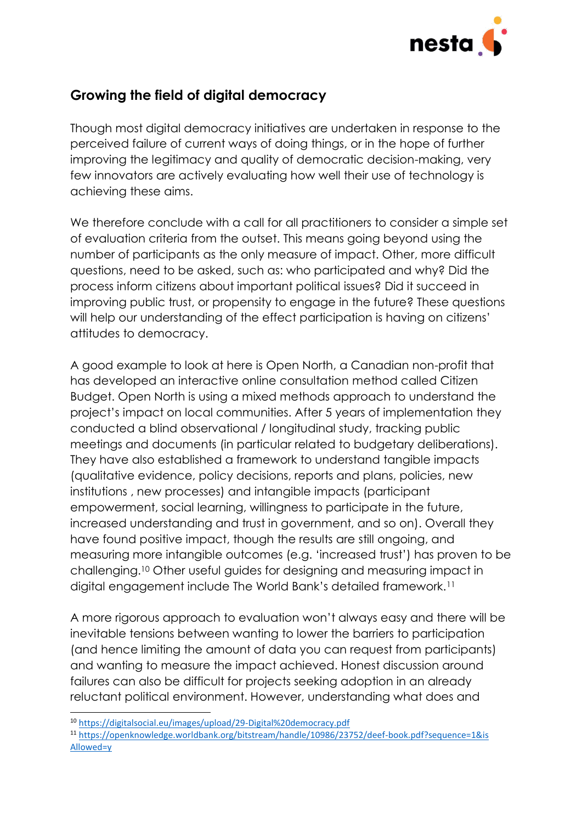

# **Growing the field of digital democracy**

Though most digital democracy initiatives are undertaken in response to the perceived failure of current ways of doing things, or in the hope of further improving the legitimacy and quality of democratic decision-making, very few innovators are actively evaluating how well their use of technology is achieving these aims.

We therefore conclude with a call for all practitioners to consider a simple set of evaluation criteria from the outset. This means going beyond using the number of participants as the only measure of impact. Other, more difficult questions, need to be asked, such as: who participated and why? Did the process inform citizens about important political issues? Did it succeed in improving public trust, or propensity to engage in the future? These questions will help our understanding of the effect participation is having on citizens' attitudes to democracy.

A good example to look at here is Open North, a Canadian non-profit that has developed an interactive online consultation method called Citizen Budget. Open North is using a mixed methods approach to understand the project's impact on local communities. After 5 years of implementation they conducted a blind observational / longitudinal study, tracking public meetings and documents (in particular related to budgetary deliberations). They have also established a framework to understand tangible impacts (qualitative evidence, policy decisions, reports and plans, policies, new institutions , new processes) and intangible impacts (participant empowerment, social learning, willingness to participate in the future, increased understanding and trust in government, and so on). Overall they have found positive impact, though the results are still ongoing, and measuring more intangible outcomes (e.g. 'increased trust') has proven to be challenging.<sup>10</sup> Other useful guides for designing and measuring impact in digital engagement include The World Bank's detailed framework.<sup>11</sup>

A more rigorous approach to evaluation won't always easy and there will be inevitable tensions between wanting to lower the barriers to participation (and hence limiting the amount of data you can request from participants) and wanting to measure the impact achieved. Honest discussion around failures can also be difficult for projects seeking adoption in an already reluctant political environment. However, understanding what does and

1

<sup>10</sup> <https://digitalsocial.eu/images/upload/29-Digital%20democracy.pdf>

<sup>11</sup> [https://openknowledge.worldbank.org/bitstream/handle/10986/23752/deef-book.pdf?sequence=1&is](https://openknowledge.worldbank.org/bitstream/handle/10986/23752/deef-book.pdf?sequence=1&isAllowed=y) [Allowed=y](https://openknowledge.worldbank.org/bitstream/handle/10986/23752/deef-book.pdf?sequence=1&isAllowed=y)